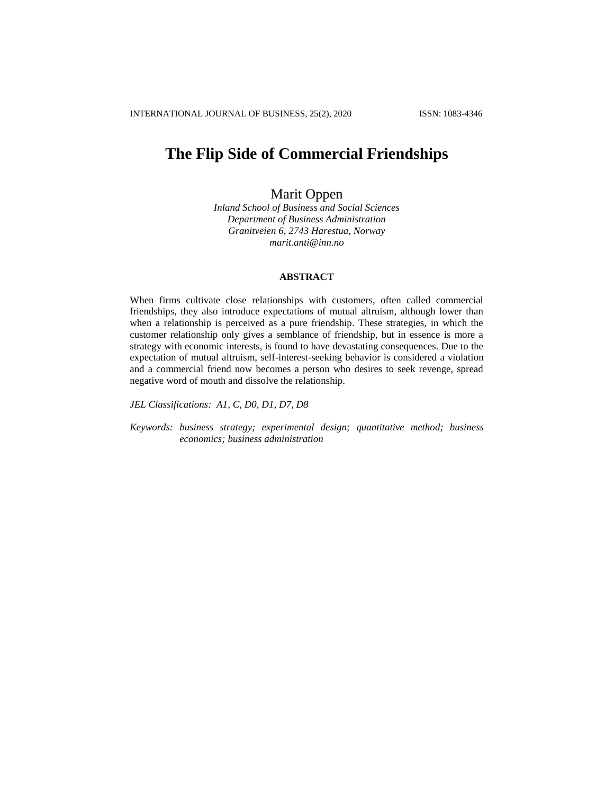# **The Flip Side of Commercial Friendships**

## Marit Oppen

*Inland School of Business and Social Sciences Department of Business Administration Granitveien 6, 2743 Harestua, Norway marit.anti@inn.no*

## **ABSTRACT**

When firms cultivate close relationships with customers, often called commercial friendships, they also introduce expectations of mutual altruism, although lower than when a relationship is perceived as a pure friendship. These strategies, in which the customer relationship only gives a semblance of friendship, but in essence is more a strategy with economic interests, is found to have devastating consequences. Due to the expectation of mutual altruism, self-interest-seeking behavior is considered a violation and a commercial friend now becomes a person who desires to seek revenge, spread negative word of mouth and dissolve the relationship.

*JEL Classifications: A1, C, D0, D1, D7, D8*

*Keywords: business strategy; experimental design; quantitative method; business economics; business administration*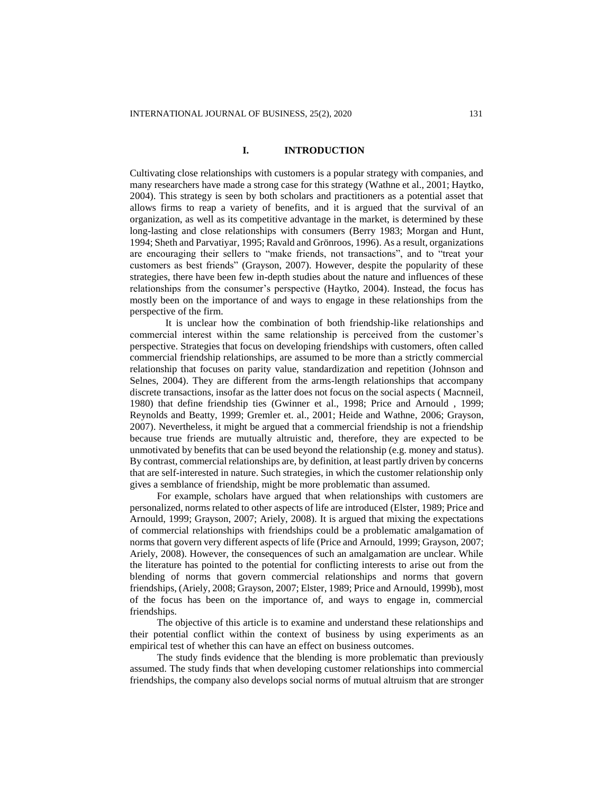## **I. INTRODUCTION**

Cultivating close relationships with customers is a popular strategy with companies, and many researchers have made a strong case for this strategy (Wathne et al., 2001; Haytko, 2004). This strategy is seen by both scholars and practitioners as a potential asset that allows firms to reap a variety of benefits, and it is argued that the survival of an organization, as well as its competitive advantage in the market, is determined by these long-lasting and close relationships with consumers (Berry 1983; Morgan and Hunt, 1994; Sheth and Parvatiyar, 1995; Ravald and Grönroos, 1996). As a result, organizations are encouraging their sellers to "make friends, not transactions", and to "treat your customers as best friends" (Grayson, 2007). However, despite the popularity of these strategies, there have been few in-depth studies about the nature and influences of these relationships from the consumer's perspective (Haytko, 2004). Instead, the focus has mostly been on the importance of and ways to engage in these relationships from the perspective of the firm.

It is unclear how the combination of both friendship-like relationships and commercial interest within the same relationship is perceived from the customer's perspective. Strategies that focus on developing friendships with customers, often called commercial friendship relationships, are assumed to be more than a strictly commercial relationship that focuses on parity value, standardization and repetition (Johnson and Selnes, 2004). They are different from the arms-length relationships that accompany discrete transactions, insofar as the latter does not focus on the social aspects ( Macnneil, 1980) that define friendship ties (Gwinner et al., 1998; Price and Arnould , 1999; Reynolds and Beatty, 1999; Gremler et. al., 2001; Heide and Wathne, 2006; Grayson, 2007). Nevertheless, it might be argued that a commercial friendship is not a friendship because true friends are mutually altruistic and, therefore, they are expected to be unmotivated by benefits that can be used beyond the relationship (e.g. money and status). By contrast, commercial relationships are, by definition, at least partly driven by concerns that are self-interested in nature. Such strategies, in which the customer relationship only gives a semblance of friendship, might be more problematic than assumed.

For example, scholars have argued that when relationships with customers are personalized, norms related to other aspects of life are introduced (Elster, 1989; Price and Arnould, 1999; Grayson, 2007; Ariely, 2008). It is argued that mixing the expectations of commercial relationships with friendships could be a problematic amalgamation of norms that govern very different aspects of life (Price and Arnould, 1999; Grayson, 2007; Ariely, 2008). However, the consequences of such an amalgamation are unclear. While the literature has pointed to the potential for conflicting interests to arise out from the blending of norms that govern commercial relationships and norms that govern friendships, (Ariely, 2008; Grayson, 2007; Elster, 1989; Price and Arnould, 1999b), most of the focus has been on the importance of, and ways to engage in, commercial friendships.

The objective of this article is to examine and understand these relationships and their potential conflict within the context of business by using experiments as an empirical test of whether this can have an effect on business outcomes.

The study finds evidence that the blending is more problematic than previously assumed. The study finds that when developing customer relationships into commercial friendships, the company also develops social norms of mutual altruism that are stronger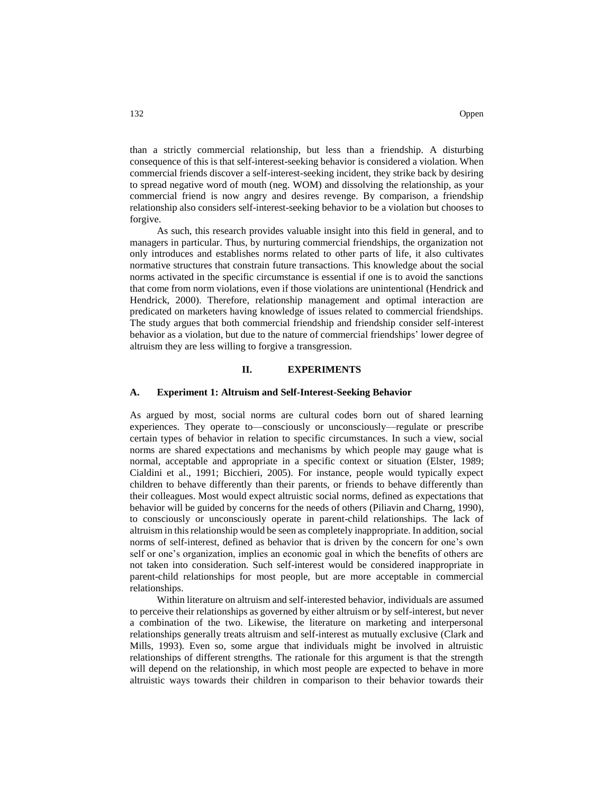than a strictly commercial relationship, but less than a friendship. A disturbing consequence of this is that self-interest-seeking behavior is considered a violation. When commercial friends discover a self-interest-seeking incident, they strike back by desiring to spread negative word of mouth (neg. WOM) and dissolving the relationship, as your commercial friend is now angry and desires revenge. By comparison, a friendship relationship also considers self-interest-seeking behavior to be a violation but chooses to forgive.

As such, this research provides valuable insight into this field in general, and to managers in particular. Thus, by nurturing commercial friendships, the organization not only introduces and establishes norms related to other parts of life, it also cultivates normative structures that constrain future transactions. This knowledge about the social norms activated in the specific circumstance is essential if one is to avoid the sanctions that come from norm violations, even if those violations are unintentional (Hendrick and Hendrick, 2000). Therefore, relationship management and optimal interaction are predicated on marketers having knowledge of issues related to commercial friendships. The study argues that both commercial friendship and friendship consider self-interest behavior as a violation, but due to the nature of commercial friendships' lower degree of altruism they are less willing to forgive a transgression.

#### **II. EXPERIMENTS**

#### **A. Experiment 1: Altruism and Self-Interest-Seeking Behavior**

As argued by most, social norms are cultural codes born out of shared learning experiences. They operate to—consciously or unconsciously—regulate or prescribe certain types of behavior in relation to specific circumstances. In such a view, social norms are shared expectations and mechanisms by which people may gauge what is normal, acceptable and appropriate in a specific context or situation (Elster, 1989; Cialdini et al., 1991; Bicchieri, 2005). For instance, people would typically expect children to behave differently than their parents, or friends to behave differently than their colleagues. Most would expect altruistic social norms, defined as expectations that behavior will be guided by concerns for the needs of others (Piliavin and Charng, 1990), to consciously or unconsciously operate in parent-child relationships. The lack of altruism in this relationship would be seen as completely inappropriate. In addition, social norms of self-interest, defined as behavior that is driven by the concern for one's own self or one's organization, implies an economic goal in which the benefits of others are not taken into consideration. Such self-interest would be considered inappropriate in parent-child relationships for most people, but are more acceptable in commercial relationships.

Within literature on altruism and self-interested behavior, individuals are assumed to perceive their relationships as governed by either altruism or by self-interest, but never a combination of the two. Likewise, the literature on marketing and interpersonal relationships generally treats altruism and self-interest as mutually exclusive (Clark and Mills, 1993). Even so, some argue that individuals might be involved in altruistic relationships of different strengths. The rationale for this argument is that the strength will depend on the relationship, in which most people are expected to behave in more altruistic ways towards their children in comparison to their behavior towards their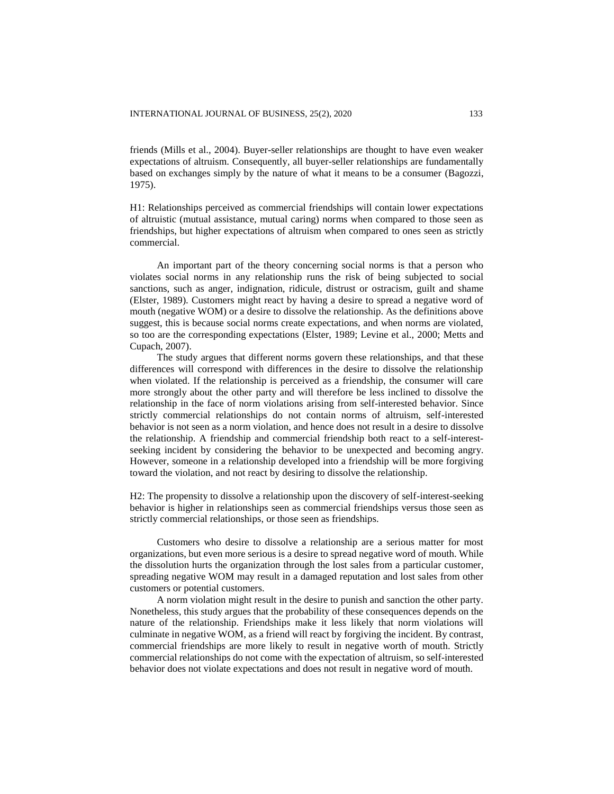friends (Mills et al., 2004). Buyer-seller relationships are thought to have even weaker expectations of altruism. Consequently, all buyer-seller relationships are fundamentally based on exchanges simply by the nature of what it means to be a consumer (Bagozzi, 1975).

H1: Relationships perceived as commercial friendships will contain lower expectations of altruistic (mutual assistance, mutual caring) norms when compared to those seen as friendships, but higher expectations of altruism when compared to ones seen as strictly commercial.

An important part of the theory concerning social norms is that a person who violates social norms in any relationship runs the risk of being subjected to social sanctions, such as anger, indignation, ridicule, distrust or ostracism, guilt and shame (Elster, 1989). Customers might react by having a desire to spread a negative word of mouth (negative WOM) or a desire to dissolve the relationship. As the definitions above suggest, this is because social norms create expectations, and when norms are violated, so too are the corresponding expectations (Elster, 1989; Levine et al., 2000; Metts and Cupach, 2007).

The study argues that different norms govern these relationships, and that these differences will correspond with differences in the desire to dissolve the relationship when violated. If the relationship is perceived as a friendship, the consumer will care more strongly about the other party and will therefore be less inclined to dissolve the relationship in the face of norm violations arising from self-interested behavior. Since strictly commercial relationships do not contain norms of altruism, self-interested behavior is not seen as a norm violation, and hence does not result in a desire to dissolve the relationship. A friendship and commercial friendship both react to a self-interestseeking incident by considering the behavior to be unexpected and becoming angry. However, someone in a relationship developed into a friendship will be more forgiving toward the violation, and not react by desiring to dissolve the relationship.

H2: The propensity to dissolve a relationship upon the discovery of self-interest-seeking behavior is higher in relationships seen as commercial friendships versus those seen as strictly commercial relationships, or those seen as friendships.

Customers who desire to dissolve a relationship are a serious matter for most organizations, but even more serious is a desire to spread negative word of mouth. While the dissolution hurts the organization through the lost sales from a particular customer, spreading negative WOM may result in a damaged reputation and lost sales from other customers or potential customers.

A norm violation might result in the desire to punish and sanction the other party. Nonetheless, this study argues that the probability of these consequences depends on the nature of the relationship. Friendships make it less likely that norm violations will culminate in negative WOM, as a friend will react by forgiving the incident. By contrast, commercial friendships are more likely to result in negative worth of mouth. Strictly commercial relationships do not come with the expectation of altruism, so self-interested behavior does not violate expectations and does not result in negative word of mouth.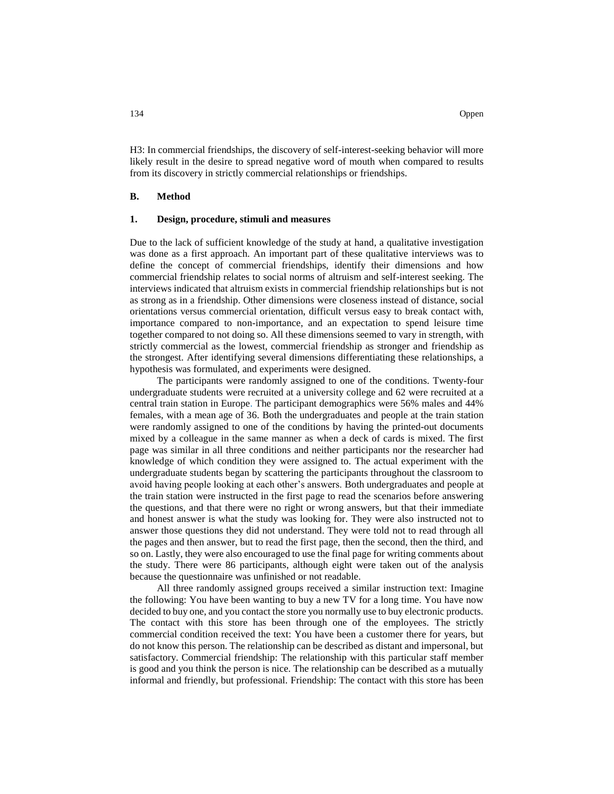H3: In commercial friendships, the discovery of self-interest-seeking behavior will more likely result in the desire to spread negative word of mouth when compared to results from its discovery in strictly commercial relationships or friendships.

#### **B. Method**

#### **1. Design, procedure, stimuli and measures**

Due to the lack of sufficient knowledge of the study at hand, a qualitative investigation was done as a first approach. An important part of these qualitative interviews was to define the concept of commercial friendships, identify their dimensions and how commercial friendship relates to social norms of altruism and self-interest seeking. The interviews indicated that altruism exists in commercial friendship relationships but is not as strong as in a friendship. Other dimensions were closeness instead of distance, social orientations versus commercial orientation, difficult versus easy to break contact with, importance compared to non-importance, and an expectation to spend leisure time together compared to not doing so. All these dimensions seemed to vary in strength, with strictly commercial as the lowest, commercial friendship as stronger and friendship as the strongest. After identifying several dimensions differentiating these relationships, a hypothesis was formulated, and experiments were designed.

The participants were randomly assigned to one of the conditions. Twenty-four undergraduate students were recruited at a university college and 62 were recruited at a central train station in Europe. The participant demographics were 56% males and 44% females, with a mean age of 36. Both the undergraduates and people at the train station were randomly assigned to one of the conditions by having the printed-out documents mixed by a colleague in the same manner as when a deck of cards is mixed. The first page was similar in all three conditions and neither participants nor the researcher had knowledge of which condition they were assigned to. The actual experiment with the undergraduate students began by scattering the participants throughout the classroom to avoid having people looking at each other's answers. Both undergraduates and people at the train station were instructed in the first page to read the scenarios before answering the questions, and that there were no right or wrong answers, but that their immediate and honest answer is what the study was looking for. They were also instructed not to answer those questions they did not understand. They were told not to read through all the pages and then answer, but to read the first page, then the second, then the third, and so on. Lastly, they were also encouraged to use the final page for writing comments about the study. There were 86 participants, although eight were taken out of the analysis because the questionnaire was unfinished or not readable.

All three randomly assigned groups received a similar instruction text: Imagine the following: You have been wanting to buy a new TV for a long time. You have now decided to buy one, and you contact the store you normally use to buy electronic products. The contact with this store has been through one of the employees*.* The strictly commercial condition received the text: You have been a customer there for years, but do not know this person. The relationship can be described as distant and impersonal, but satisfactory. Commercial friendship: The relationship with this particular staff member is good and you think the person is nice. The relationship can be described as a mutually informal and friendly, but professional. Friendship: The contact with this store has been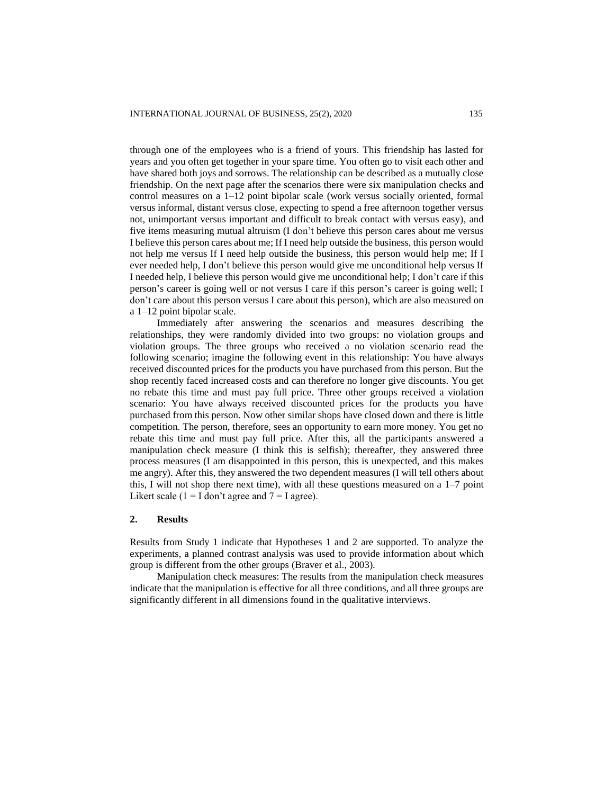through one of the employees who is a friend of yours. This friendship has lasted for years and you often get together in your spare time. You often go to visit each other and have shared both joys and sorrows. The relationship can be described as a mutually close friendship. On the next page after the scenarios there were six manipulation checks and control measures on a 1–12 point bipolar scale (work versus socially oriented, formal versus informal, distant versus close, expecting to spend a free afternoon together versus not, unimportant versus important and difficult to break contact with versus easy), and five items measuring mutual altruism (I don't believe this person cares about me versus I believe this person cares about me; If I need help outside the business, this person would not help me versus If I need help outside the business, this person would help me; If I ever needed help, I don't believe this person would give me unconditional help versus If I needed help, I believe this person would give me unconditional help; I don't care if this person's career is going well or not versus I care if this person's career is going well; I don't care about this person versus I care about this person), which are also measured on a 1–12 point bipolar scale.

Immediately after answering the scenarios and measures describing the relationships, they were randomly divided into two groups: no violation groups and violation groups. The three groups who received a no violation scenario read the following scenario; imagine the following event in this relationship: You have always received discounted prices for the products you have purchased from this person. But the shop recently faced increased costs and can therefore no longer give discounts. You get no rebate this time and must pay full price. Three other groups received a violation scenario: You have always received discounted prices for the products you have purchased from this person. Now other similar shops have closed down and there is little competition. The person, therefore, sees an opportunity to earn more money. You get no rebate this time and must pay full price*.* After this, all the participants answered a manipulation check measure (I think this is selfish); thereafter, they answered three process measures (I am disappointed in this person, this is unexpected, and this makes me angry). After this, they answered the two dependent measures (I will tell others about this, I will not shop there next time), with all these questions measured on a  $1-7$  point Likert scale  $(1 = I \text{ don't agree and } 7 = I \text{ agree}).$ 

## **2. Results**

Results from Study 1 indicate that Hypotheses 1 and 2 are supported. To analyze the experiments, a planned contrast analysis was used to provide information about which group is different from the other groups (Braver et al., 2003).

Manipulation check measures: The results from the manipulation check measures indicate that the manipulation is effective for all three conditions, and all three groups are significantly different in all dimensions found in the qualitative interviews.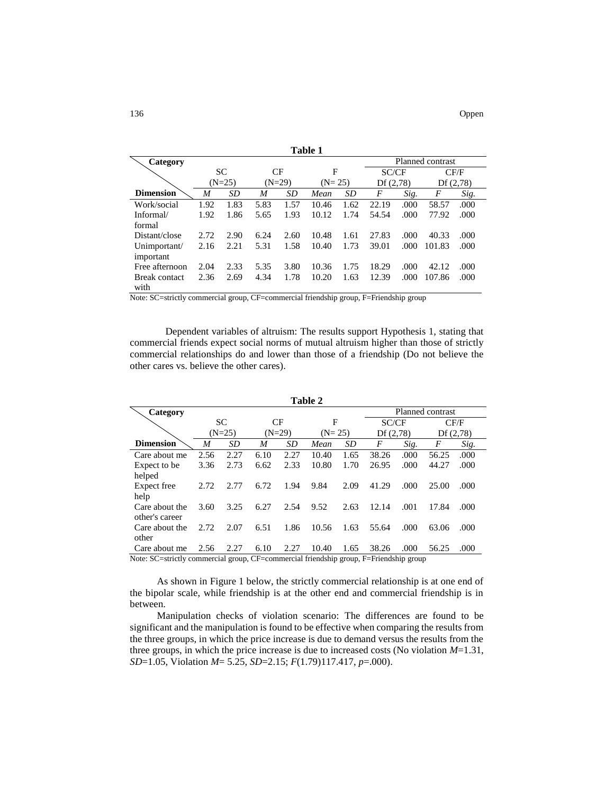| Table 1              |                  |           |          |         |          |           |          |      |                  |      |  |
|----------------------|------------------|-----------|----------|---------|----------|-----------|----------|------|------------------|------|--|
| Category             | Planned contrast |           |          |         |          |           |          |      |                  |      |  |
|                      |                  | <b>SC</b> |          | CF<br>F |          |           | SC/CF    |      | CF/F             |      |  |
|                      | $(N=25)$         |           | $(N=29)$ |         | $(N=25)$ |           | Df(2,78) |      | Df(2,78)         |      |  |
| <b>Dimension</b>     | M                | <b>SD</b> | M        | SD      | Mean     | <i>SD</i> | F        | Sig. | $\boldsymbol{F}$ | Sig. |  |
| Work/social          | 1.92             | 1.83      | 5.83     | 1.57    | 10.46    | 1.62      | 22.19    | .000 | 58.57            | .000 |  |
| Informal/            | 1.92             | 1.86      | 5.65     | 1.93    | 10.12    | 1.74      | 54.54    | .000 | 77.92            | .000 |  |
| formal               |                  |           |          |         |          |           |          |      |                  |      |  |
| Distant/close        | 2.72             | 2.90      | 6.24     | 2.60    | 10.48    | 1.61      | 27.83    | .000 | 40.33            | .000 |  |
| Unimportant/         | 2.16             | 2.21      | 5.31     | 1.58    | 10.40    | 1.73      | 39.01    | .000 | 101.83           | .000 |  |
| important            |                  |           |          |         |          |           |          |      |                  |      |  |
| Free afternoon       | 2.04             | 2.33      | 5.35     | 3.80    | 10.36    | 1.75      | 18.29    | .000 | 42.12            | .000 |  |
| <b>Break contact</b> | 2.36             | 2.69      | 4.34     | 1.78    | 10.20    | 1.63      | 12.39    | .000 | 107.86           | .000 |  |
| with                 |                  |           |          |         |          |           |          |      |                  |      |  |

Note: SC=strictly commercial group, CF=commercial friendship group, F=Friendship group

Dependent variables of altruism: The results support Hypothesis 1, stating that commercial friends expect social norms of mutual altruism higher than those of strictly commercial relationships do and lower than those of a friendship (Do not believe the other cares vs. believe the other cares).

| Table 2                                                                              |                  |           |          |      |          |           |          |      |          |      |
|--------------------------------------------------------------------------------------|------------------|-----------|----------|------|----------|-----------|----------|------|----------|------|
| Category                                                                             | Planned contrast |           |          |      |          |           |          |      |          |      |
|                                                                                      |                  | <b>SC</b> | CF       |      | F        |           | SC/CF    |      |          | CF/F |
|                                                                                      |                  | $(N=25)$  | $(N=29)$ |      | $(N=25)$ |           | Df(2,78) |      | Df(2,78) |      |
| <b>Dimension</b>                                                                     | M                | <b>SD</b> | M        | SD   | Mean     | <b>SD</b> | F        | Sig. | F        | Sig. |
| Care about me                                                                        | 2.56             | 2.27      | 6.10     | 2.27 | 10.40    | 1.65      | 38.26    | .000 | 56.25    | .000 |
| Expect to be                                                                         | 3.36             | 2.73      | 6.62     | 2.33 | 10.80    | 1.70      | 26.95    | .000 | 44.27    | .000 |
| helped                                                                               |                  |           |          |      |          |           |          |      |          |      |
| Expect free                                                                          | 2.72             | 2.77      | 6.72     | 1.94 | 9.84     | 2.09      | 41.29    | .000 | 25.00    | .000 |
| help                                                                                 |                  |           |          |      |          |           |          |      |          |      |
| Care about the                                                                       | 3.60             | 3.25      | 6.27     | 2.54 | 9.52     | 2.63      | 12.14    | .001 | 17.84    | .000 |
| other's career                                                                       |                  |           |          |      |          |           |          |      |          |      |
| Care about the                                                                       | 2.72             | 2.07      | 6.51     | 1.86 | 10.56    | 1.63      | 55.64    | .000 | 63.06    | .000 |
| other                                                                                |                  |           |          |      |          |           |          |      |          |      |
| Care about me                                                                        | 2.56             | 2.27      | 6.10     | 2.27 | 10.40    | 1.65      | 38.26    | .000 | 56.25    | .000 |
| Note: SC=strictly commercial group CE=commercial friendship group E=Friendship group |                  |           |          |      |          |           |          |      |          |      |

Note: SC=strictly commercial group, CF=commercial friendship group, F=Friendship group

As shown in Figure 1 below, the strictly commercial relationship is at one end of the bipolar scale, while friendship is at the other end and commercial friendship is in between.

Manipulation checks of violation scenario: The differences are found to be significant and the manipulation is found to be effective when comparing the results from the three groups, in which the price increase is due to demand versus the results from the three groups, in which the price increase is due to increased costs (No violation *M*=1.31, *SD*=1.05, Violation *M*= 5.25, *SD*=2.15; *F*(1.79)117.417, *p*=.000).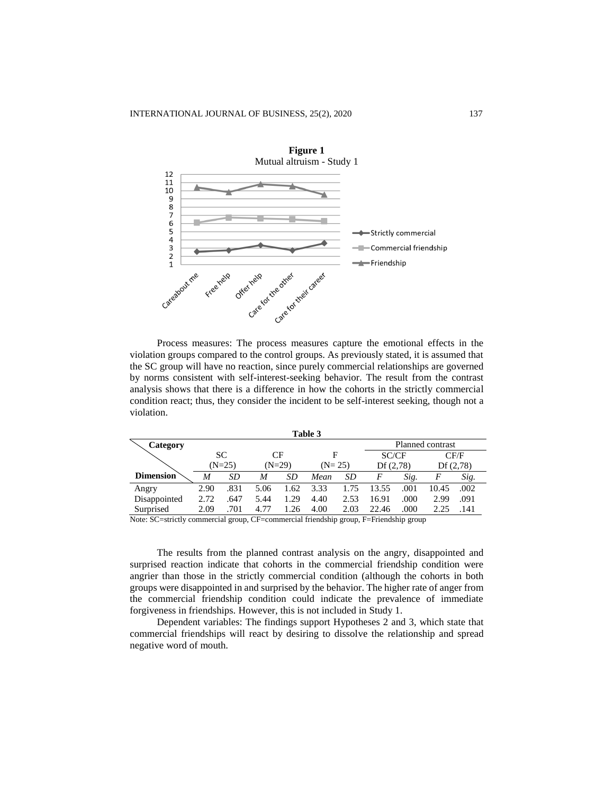

Process measures: The process measures capture the emotional effects in the violation groups compared to the control groups. As previously stated, it is assumed that the SC group will have no reaction, since purely commercial relationships are governed by norms consistent with self-interest-seeking behavior. The result from the contrast analysis shows that there is a difference in how the cohorts in the strictly commercial condition react; thus, they consider the incident to be self-interest seeking, though not a violation.

| Table 3          |          |      |          |      |          |      |                  |      |          |      |  |
|------------------|----------|------|----------|------|----------|------|------------------|------|----------|------|--|
| Category         |          |      |          |      |          |      | Planned contrast |      |          |      |  |
|                  | SC.      |      | CF       |      | F        |      | SC/CF            |      | CF/F     |      |  |
|                  | $(N=25)$ |      | $(N=29)$ |      | $(N=25)$ |      | Df(2,78)         |      | Df(2,78) |      |  |
| <b>Dimension</b> | M        | SD   | M        | SD   | Mean     | SD   | F                | Sig. | F        | Sig. |  |
| Angry            | 2.90     | .831 | 5.06     | 1.62 | 3.33     | 1.75 | 13.55            | .001 | 10.45    | .002 |  |
| Disappointed     | 2.72     | .647 | 5.44     | 1.29 | 4.40     | 2.53 | 16.91            | .000 | 2.99     | .091 |  |
| Surprised        | 2.09     | .701 | 4.77     | 1.26 | 4.00     | 2.03 | 22.46            | .000 | 2.25     | .141 |  |

Note: SC=strictly commercial group, CF=commercial friendship group, F=Friendship group

The results from the planned contrast analysis on the angry, disappointed and surprised reaction indicate that cohorts in the commercial friendship condition were angrier than those in the strictly commercial condition (although the cohorts in both groups were disappointed in and surprised by the behavior. The higher rate of anger from the commercial friendship condition could indicate the prevalence of immediate forgiveness in friendships. However, this is not included in Study 1.

Dependent variables: The findings support Hypotheses 2 and 3, which state that commercial friendships will react by desiring to dissolve the relationship and spread negative word of mouth.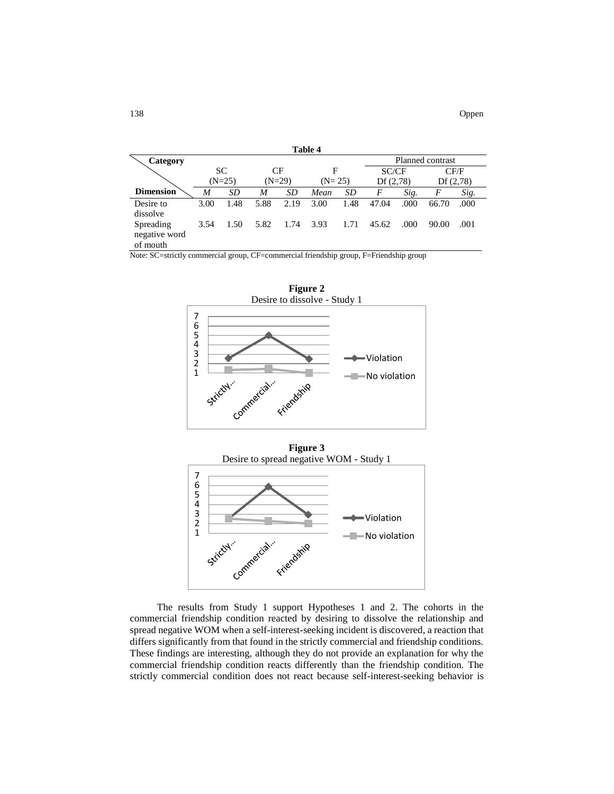| Table 4          |           |      |          |      |                  |      |          |      |          |      |  |
|------------------|-----------|------|----------|------|------------------|------|----------|------|----------|------|--|
| Category         |           |      |          |      | Planned contrast |      |          |      |          |      |  |
|                  | <b>SC</b> |      | CF       |      | F                |      | SC/CF    |      | CF/F     |      |  |
|                  | $(N=25)$  |      | $(N=29)$ |      | $(N=25)$         |      | Df(2,78) |      | Df(2,78) |      |  |
| <b>Dimension</b> | M         | SD   | M        | SD   | Mean             | SD   | F        | Sig. | F        | Sig. |  |
| Desire to        | 3.00      | 1.48 | 5.88     | 2.19 | 3.00             | 1.48 | 47.04    | .000 | 66.70    | .000 |  |
| dissolve         |           |      |          |      |                  |      |          |      |          |      |  |
| Spreading        | 3.54      | 1.50 | 5.82     | 1.74 | 3.93             | 1.71 | 45.62    | .000 | 90.00    | .001 |  |
| negative word    |           |      |          |      |                  |      |          |      |          |      |  |
| of mouth         |           |      |          |      |                  |      |          |      |          |      |  |

Note: SC=strictly commercial group, CF=commercial friendship group, F=Friendship group



**Figure 3** Desire to spread negative WOM - Study 1



The results from Study 1 support Hypotheses 1 and 2. The cohorts in the commercial friendship condition reacted by desiring to dissolve the relationship and spread negative WOM when a self-interest-seeking incident is discovered, a reaction that differs significantly from that found in the strictly commercial and friendship conditions. These findings are interesting, although they do not provide an explanation for why the commercial friendship condition reacts differently than the friendship condition. The strictly commercial condition does not react because self-interest-seeking behavior is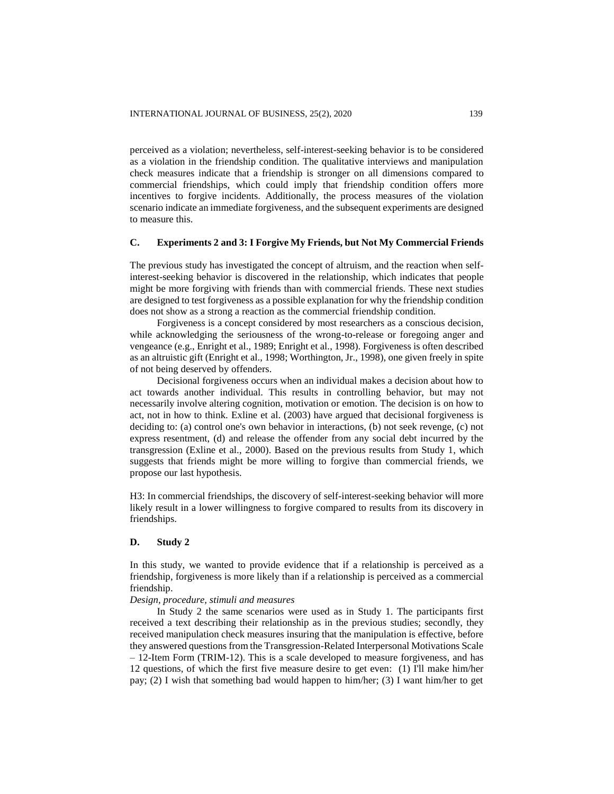perceived as a violation; nevertheless, self-interest-seeking behavior is to be considered as a violation in the friendship condition. The qualitative interviews and manipulation check measures indicate that a friendship is stronger on all dimensions compared to commercial friendships, which could imply that friendship condition offers more incentives to forgive incidents. Additionally, the process measures of the violation scenario indicate an immediate forgiveness, and the subsequent experiments are designed to measure this.

## **C. Experiments 2 and 3: I Forgive My Friends, but Not My Commercial Friends**

The previous study has investigated the concept of altruism, and the reaction when selfinterest-seeking behavior is discovered in the relationship, which indicates that people might be more forgiving with friends than with commercial friends. These next studies are designed to test forgiveness as a possible explanation for why the friendship condition does not show as a strong a reaction as the commercial friendship condition.

Forgiveness is a concept considered by most researchers as a conscious decision, while acknowledging the seriousness of the wrong-to-release or foregoing anger and vengeance (e.g., Enright et al., 1989; Enright et al., 1998). Forgiveness is often described as an altruistic gift (Enright et al., 1998; Worthington, Jr., 1998), one given freely in spite of not being deserved by offenders.

Decisional forgiveness occurs when an individual makes a decision about how to act towards another individual. This results in controlling behavior, but may not necessarily involve altering cognition, motivation or emotion. The decision is on how to act, not in how to think. Exline et al. (2003) have argued that decisional forgiveness is deciding to: (a) control one's own behavior in interactions, (b) not seek revenge, (c) not express resentment, (d) and release the offender from any social debt incurred by the transgression (Exline et al., 2000). Based on the previous results from Study 1, which suggests that friends might be more willing to forgive than commercial friends, we propose our last hypothesis.

H3: In commercial friendships, the discovery of self-interest-seeking behavior will more likely result in a lower willingness to forgive compared to results from its discovery in friendships.

#### **D. Study 2**

In this study, we wanted to provide evidence that if a relationship is perceived as a friendship, forgiveness is more likely than if a relationship is perceived as a commercial friendship.

#### *Design, procedure, stimuli and measures*

In Study 2 the same scenarios were used as in Study 1. The participants first received a text describing their relationship as in the previous studies; secondly, they received manipulation check measures insuring that the manipulation is effective, before they answered questions from the Transgression-Related Interpersonal Motivations Scale – 12-Item Form (TRIM-12). This is a scale developed to measure forgiveness, and has 12 questions, of which the first five measure desire to get even: (1) I'll make him/her pay; (2) I wish that something bad would happen to him/her; (3) I want him/her to get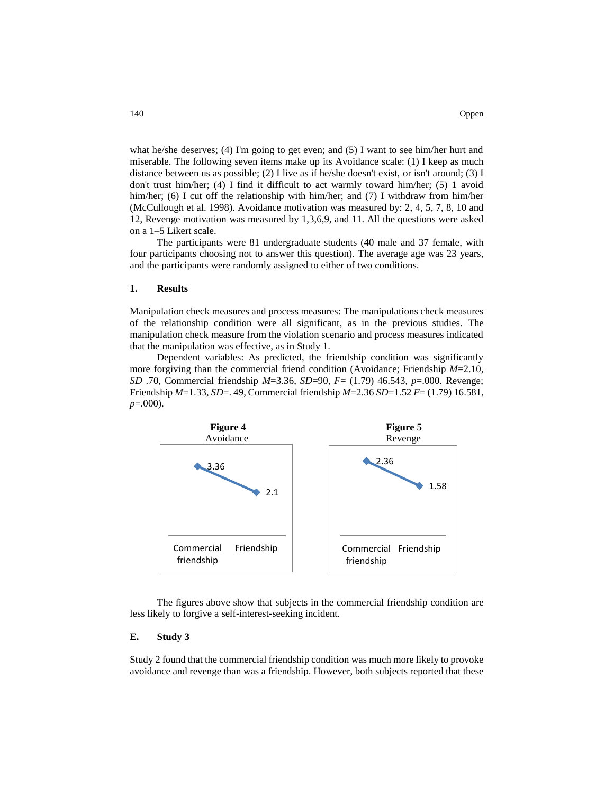what he/she deserves; (4) I'm going to get even; and (5) I want to see him/her hurt and miserable. The following seven items make up its Avoidance scale: (1) I keep as much distance between us as possible; (2) I live as if he/she doesn't exist, or isn't around; (3) I don't trust him/her; (4) I find it difficult to act warmly toward him/her; (5) 1 avoid him/her; (6) I cut off the relationship with him/her; and (7) I withdraw from him/her (McCullough et al. 1998). Avoidance motivation was measured by: 2, 4, 5, 7, 8, 10 and 12, Revenge motivation was measured by 1,3,6,9, and 11. All the questions were asked on a 1–5 Likert scale.

The participants were 81 undergraduate students (40 male and 37 female, with four participants choosing not to answer this question). The average age was 23 years, and the participants were randomly assigned to either of two conditions.

#### **1. Results**

Manipulation check measures and process measures: The manipulations check measures of the relationship condition were all significant, as in the previous studies. The manipulation check measure from the violation scenario and process measures indicated that the manipulation was effective, as in Study 1.

Dependent variables: As predicted, the friendship condition was significantly more forgiving than the commercial friend condition (Avoidance; Friendship *M*=2.10, *SD* .70, Commercial friendship *M*=3.36, *SD*=90, *F*= (1.79) 46.543, *p*=.000. Revenge; Friendship *M*=1.33, *SD*=. 49, Commercial friendship *M*=2.36 *SD*=1.52 *F*= (1.79) 16.581, *p*=.000).



The figures above show that subjects in the commercial friendship condition are less likely to forgive a self-interest-seeking incident.

#### **E. Study 3**

Study 2 found that the commercial friendship condition was much more likely to provoke avoidance and revenge than was a friendship. However, both subjects reported that these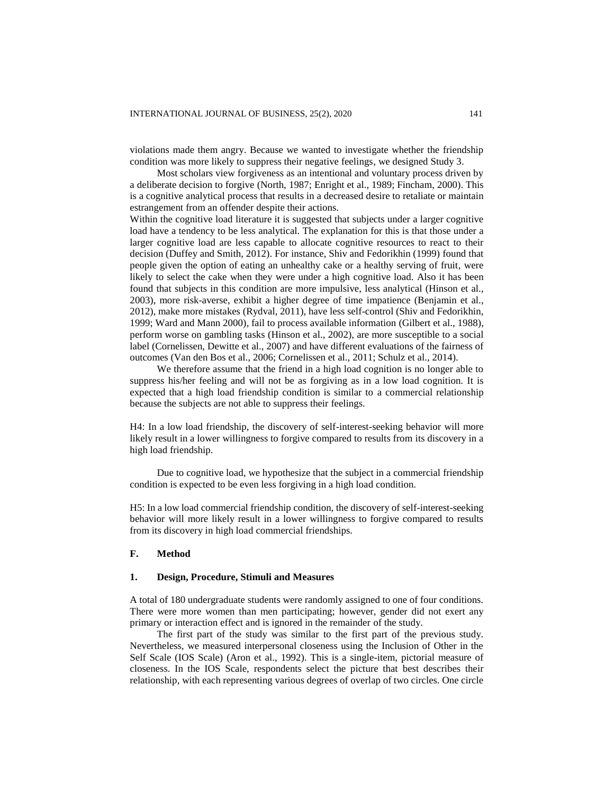violations made them angry. Because we wanted to investigate whether the friendship condition was more likely to suppress their negative feelings, we designed Study 3.

Most scholars view forgiveness as an intentional and voluntary process driven by a deliberate decision to forgive (North, 1987; Enright et al., 1989; Fincham, 2000). This is a cognitive analytical process that results in a decreased desire to retaliate or maintain estrangement from an offender despite their actions.

Within the cognitive load literature it is suggested that subjects under a larger cognitive load have a tendency to be less analytical. The explanation for this is that those under a larger cognitive load are less capable to allocate cognitive resources to react to their decision (Duffey and Smith, 2012). For instance, Shiv and Fedorikhin (1999) found that people given the option of eating an unhealthy cake or a healthy serving of fruit, were likely to select the cake when they were under a high cognitive load. Also it has been found that subjects in this condition are more impulsive, less analytical (Hinson et al., 2003), more risk-averse, exhibit a higher degree of time impatience (Benjamin et al., 2012), make more mistakes (Rydval, 2011), have less self-control (Shiv and Fedorikhin, 1999; Ward and Mann 2000), fail to process available information (Gilbert et al., 1988), perform worse on gambling tasks (Hinson et al., 2002), are more susceptible to a social label (Cornelissen, Dewitte et al., 2007) and have different evaluations of the fairness of outcomes (Van den Bos et al., 2006; Cornelissen et al., 2011; Schulz et al., 2014).

We therefore assume that the friend in a high load cognition is no longer able to suppress his/her feeling and will not be as forgiving as in a low load cognition. It is expected that a high load friendship condition is similar to a commercial relationship because the subjects are not able to suppress their feelings.

H4: In a low load friendship, the discovery of self-interest-seeking behavior will more likely result in a lower willingness to forgive compared to results from its discovery in a high load friendship.

Due to cognitive load, we hypothesize that the subject in a commercial friendship condition is expected to be even less forgiving in a high load condition.

H5: In a low load commercial friendship condition, the discovery of self-interest-seeking behavior will more likely result in a lower willingness to forgive compared to results from its discovery in high load commercial friendships.

#### **F. Method**

#### **1. Design, Procedure, Stimuli and Measures**

A total of 180 undergraduate students were randomly assigned to one of four conditions. There were more women than men participating; however, gender did not exert any primary or interaction effect and is ignored in the remainder of the study.

The first part of the study was similar to the first part of the previous study. Nevertheless, we measured interpersonal closeness using the Inclusion of Other in the Self Scale (IOS Scale) (Aron et al., 1992). This is a single-item, pictorial measure of closeness. In the IOS Scale, respondents select the picture that best describes their relationship, with each representing various degrees of overlap of two circles. One circle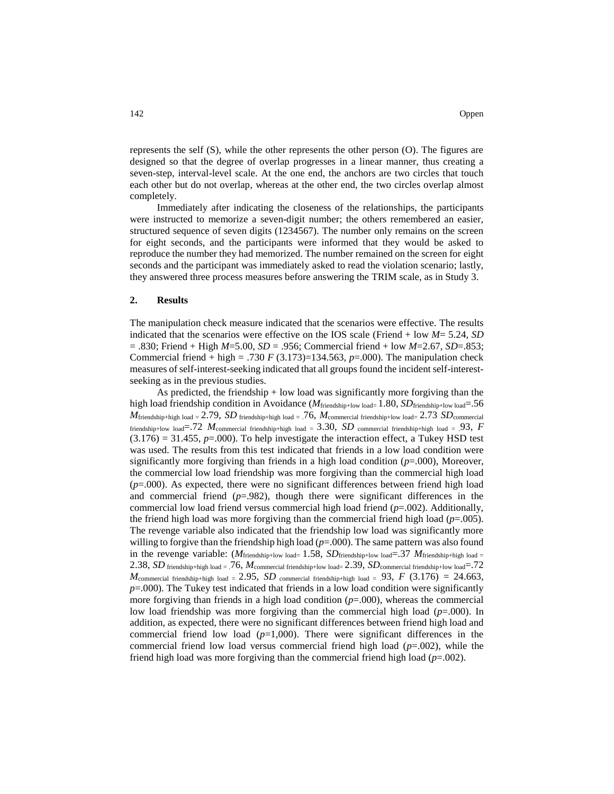represents the self (S), while the other represents the other person (O). The figures are designed so that the degree of overlap progresses in a linear manner, thus creating a seven-step, interval-level scale. At the one end, the anchors are two circles that touch each other but do not overlap, whereas at the other end, the two circles overlap almost completely.

Immediately after indicating the closeness of the relationships, the participants were instructed to memorize a seven-digit number; the others remembered an easier, structured sequence of seven digits (1234567). The number only remains on the screen for eight seconds, and the participants were informed that they would be asked to reproduce the number they had memorized. The number remained on the screen for eight seconds and the participant was immediately asked to read the violation scenario; lastly, they answered three process measures before answering the TRIM scale, as in Study 3.

#### **2. Results**

The manipulation check measure indicated that the scenarios were effective. The results indicated that the scenarios were effective on the IOS scale (Friend + low *M*= 5.24, *SD* = .830; Friend + High *M*=5.00, *SD* = .956; Commercial friend + low *M*=2.67, *SD*=.853; Commercial friend + high = .730 *F* (3.173)=134.563,  $p=0.000$ . The manipulation check measures of self-interest-seeking indicated that all groups found the incident self-interestseeking as in the previous studies.

As predicted, the friendship  $+$  low load was significantly more forgiving than the high load friendship condition in Avoidance (*M*<sub>friendship+low load= 1.80, *SD*<sub>friendship+low load= .56</sub></sub>  $M$ friendship+high load = 2.79, *SD* friendship+high load = .76,  $M$ commercial friendship+low load= 2.73 *SD* commercial friendship+low load= $.72$  *M*<sub>commercial friendship+high load = 3.30, *SD* commercial friendship+high load = .93, *F*</sub>  $(3.176) = 31.455$ ,  $p = .000$ ). To help investigate the interaction effect, a Tukey HSD test was used. The results from this test indicated that friends in a low load condition were significantly more forgiving than friends in a high load condition (*p*=.000), Moreover, the commercial low load friendship was more forgiving than the commercial high load (*p*=.000). As expected, there were no significant differences between friend high load and commercial friend  $(p=982)$ , though there were significant differences in the commercial low load friend versus commercial high load friend (*p*=.002). Additionally, the friend high load was more forgiving than the commercial friend high load  $(p=.005)$ . The revenge variable also indicated that the friendship low load was significantly more willing to forgive than the friendship high load  $(p=.000)$ . The same pattern was also found in the revenge variable: (*M*<sub>friendship+low load= 1.58, *SD*friendship+low load=.37 *M*<sub>friendship+high load =</sub></sub> 2.38, *SD* friendship+high load = .76, *M*commercial friendship+low load= 2.39, *SD*commercial friendship+low load=.72  $M$ commercial friendship+high load = 2.95, *SD* commercial friendship+high load = .93, *F* (3.176) = 24.663, *p*=.000). The Tukey test indicated that friends in a low load condition were significantly more forgiving than friends in a high load condition  $(p=0.000)$ , whereas the commercial low load friendship was more forgiving than the commercial high load  $(p=.000)$ . In addition, as expected, there were no significant differences between friend high load and commercial friend low load  $(p=1,000)$ . There were significant differences in the commercial friend low load versus commercial friend high load (*p*=.002), while the friend high load was more forgiving than the commercial friend high load (*p*=.002).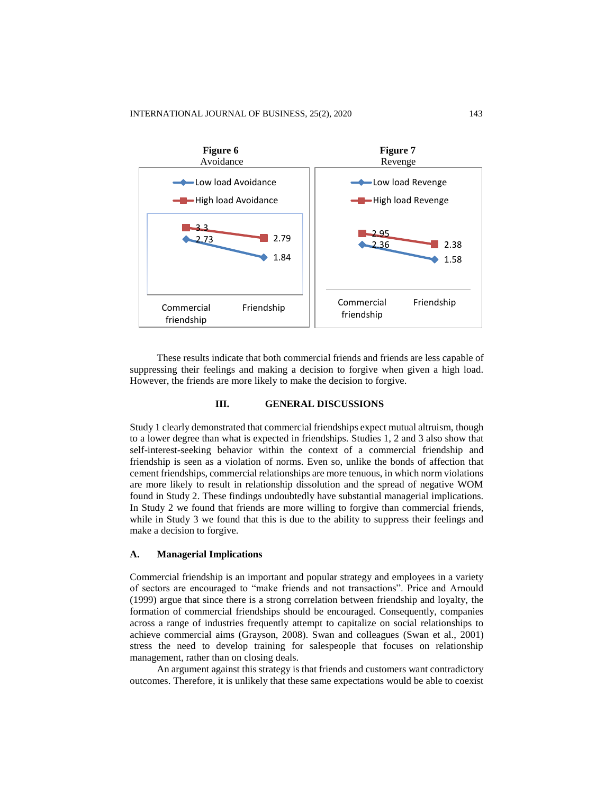

These results indicate that both commercial friends and friends are less capable of suppressing their feelings and making a decision to forgive when given a high load. However, the friends are more likely to make the decision to forgive.

#### **III. GENERAL DISCUSSIONS**

Study 1 clearly demonstrated that commercial friendships expect mutual altruism, though to a lower degree than what is expected in friendships. Studies 1, 2 and 3 also show that self-interest-seeking behavior within the context of a commercial friendship and friendship is seen as a violation of norms. Even so, unlike the bonds of affection that cement friendships, commercial relationships are more tenuous, in which norm violations are more likely to result in relationship dissolution and the spread of negative WOM found in Study 2. These findings undoubtedly have substantial managerial implications. In Study 2 we found that friends are more willing to forgive than commercial friends, while in Study 3 we found that this is due to the ability to suppress their feelings and make a decision to forgive.

#### **A. Managerial Implications**

Commercial friendship is an important and popular strategy and employees in a variety of sectors are encouraged to "make friends and not transactions". Price and Arnould (1999) argue that since there is a strong correlation between friendship and loyalty, the formation of commercial friendships should be encouraged. Consequently, companies across a range of industries frequently attempt to capitalize on social relationships to achieve commercial aims (Grayson, 2008). Swan and colleagues (Swan et al., 2001) stress the need to develop training for salespeople that focuses on relationship management, rather than on closing deals.

An argument against this strategy is that friends and customers want contradictory outcomes. Therefore, it is unlikely that these same expectations would be able to coexist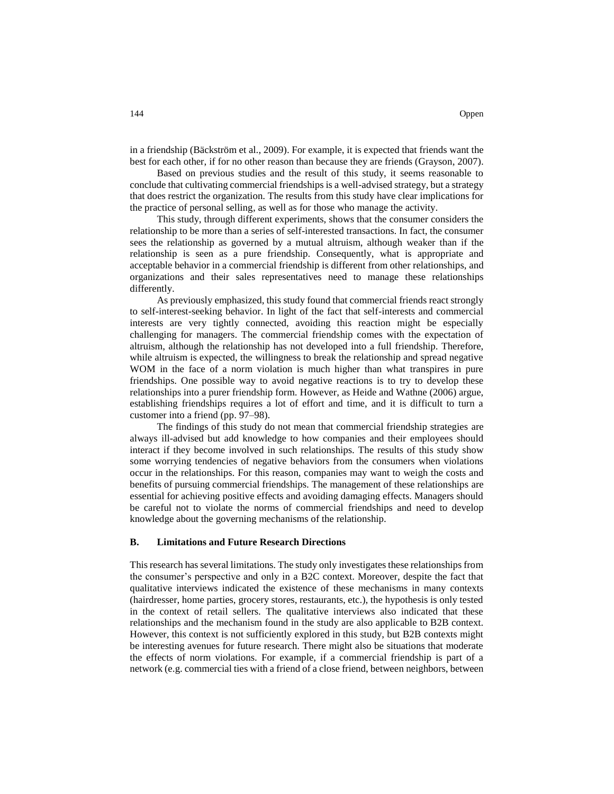in a friendship (Bäckström et al., 2009). For example, it is expected that friends want the best for each other, if for no other reason than because they are friends (Grayson, 2007).

Based on previous studies and the result of this study, it seems reasonable to conclude that cultivating commercial friendships is a well-advised strategy, but a strategy that does restrict the organization. The results from this study have clear implications for the practice of personal selling, as well as for those who manage the activity.

This study, through different experiments, shows that the consumer considers the relationship to be more than a series of self-interested transactions. In fact, the consumer sees the relationship as governed by a mutual altruism, although weaker than if the relationship is seen as a pure friendship. Consequently, what is appropriate and acceptable behavior in a commercial friendship is different from other relationships, and organizations and their sales representatives need to manage these relationships differently.

As previously emphasized, this study found that commercial friends react strongly to self-interest-seeking behavior. In light of the fact that self-interests and commercial interests are very tightly connected, avoiding this reaction might be especially challenging for managers. The commercial friendship comes with the expectation of altruism, although the relationship has not developed into a full friendship. Therefore, while altruism is expected, the willingness to break the relationship and spread negative WOM in the face of a norm violation is much higher than what transpires in pure friendships. One possible way to avoid negative reactions is to try to develop these relationships into a purer friendship form. However, as Heide and Wathne (2006) argue, establishing friendships requires a lot of effort and time, and it is difficult to turn a customer into a friend (pp. 97–98).

The findings of this study do not mean that commercial friendship strategies are always ill-advised but add knowledge to how companies and their employees should interact if they become involved in such relationships. The results of this study show some worrying tendencies of negative behaviors from the consumers when violations occur in the relationships. For this reason, companies may want to weigh the costs and benefits of pursuing commercial friendships. The management of these relationships are essential for achieving positive effects and avoiding damaging effects. Managers should be careful not to violate the norms of commercial friendships and need to develop knowledge about the governing mechanisms of the relationship.

#### **B. Limitations and Future Research Directions**

This research has several limitations. The study only investigates these relationships from the consumer's perspective and only in a B2C context. Moreover, despite the fact that qualitative interviews indicated the existence of these mechanisms in many contexts (hairdresser, home parties, grocery stores, restaurants, etc.), the hypothesis is only tested in the context of retail sellers. The qualitative interviews also indicated that these relationships and the mechanism found in the study are also applicable to B2B context. However, this context is not sufficiently explored in this study, but B2B contexts might be interesting avenues for future research. There might also be situations that moderate the effects of norm violations. For example, if a commercial friendship is part of a network (e.g. commercial ties with a friend of a close friend, between neighbors, between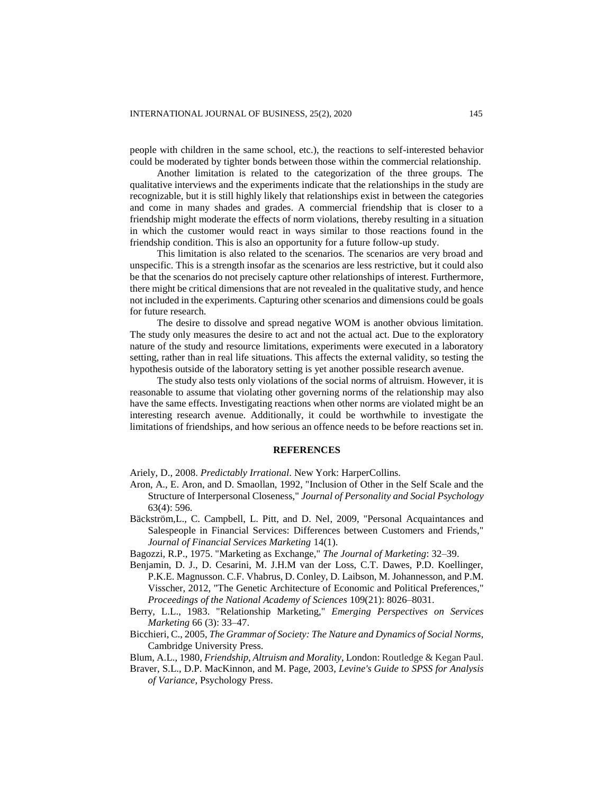people with children in the same school, etc.), the reactions to self-interested behavior could be moderated by tighter bonds between those within the commercial relationship.

Another limitation is related to the categorization of the three groups. The qualitative interviews and the experiments indicate that the relationships in the study are recognizable, but it is still highly likely that relationships exist in between the categories and come in many shades and grades. A commercial friendship that is closer to a friendship might moderate the effects of norm violations, thereby resulting in a situation in which the customer would react in ways similar to those reactions found in the friendship condition. This is also an opportunity for a future follow-up study.

This limitation is also related to the scenarios. The scenarios are very broad and unspecific. This is a strength insofar as the scenarios are less restrictive, but it could also be that the scenarios do not precisely capture other relationships of interest. Furthermore, there might be critical dimensions that are not revealed in the qualitative study, and hence not included in the experiments. Capturing other scenarios and dimensions could be goals for future research.

The desire to dissolve and spread negative WOM is another obvious limitation. The study only measures the desire to act and not the actual act. Due to the exploratory nature of the study and resource limitations, experiments were executed in a laboratory setting, rather than in real life situations. This affects the external validity, so testing the hypothesis outside of the laboratory setting is yet another possible research avenue.

The study also tests only violations of the social norms of altruism. However, it is reasonable to assume that violating other governing norms of the relationship may also have the same effects. Investigating reactions when other norms are violated might be an interesting research avenue. Additionally, it could be worthwhile to investigate the limitations of friendships, and how serious an offence needs to be before reactions set in.

#### **REFERENCES**

Ariely, D., 2008. *Predictably Irrational*. New York: HarperCollins.

- Aron, A., E. Aron, and D. Smaollan, 1992, "Inclusion of Other in the Self Scale and the Structure of Interpersonal Closeness," *Journal of Personality and Social Psychology* 63(4): 596.
- Bäckström,L., C. Campbell, L. Pitt, and D. Nel, 2009, "Personal Acquaintances and Salespeople in Financial Services: Differences between Customers and Friends," *Journal of Financial Services Marketing* 14(1).
- Bagozzi, R.P., 1975. "Marketing as Exchange," *The Journal of Marketing*: 32–39.
- Benjamin, D. J., D. Cesarini, M. J.H.M van der Loss, C.T. Dawes, P.D. Koellinger, P.K.E. Magnusson. C.F. Vhabrus, D. Conley, D. Laibson, M. Johannesson, and P.M. Visscher, 2012, "The Genetic Architecture of Economic and Political Preferences," *Proceedings of the National Academy of Sciences* 109(21): 8026–8031.
- Berry, L.L., 1983. "Relationship Marketing," *Emerging Perspectives on Services Marketing* 66 (3): 33–47.
- Bicchieri, C., 2005, *The Grammar of Society: The Nature and Dynamics of Social Norms,* Cambridge University Press.
- Blum, A.L., 1980, *Friendship, Altruism and Morality*, London: Routledge & Kegan Paul.
- Braver, S.L., D.P. MacKinnon, and M. Page, 2003, *Levine's Guide to SPSS for Analysis of Variance*, Psychology Press.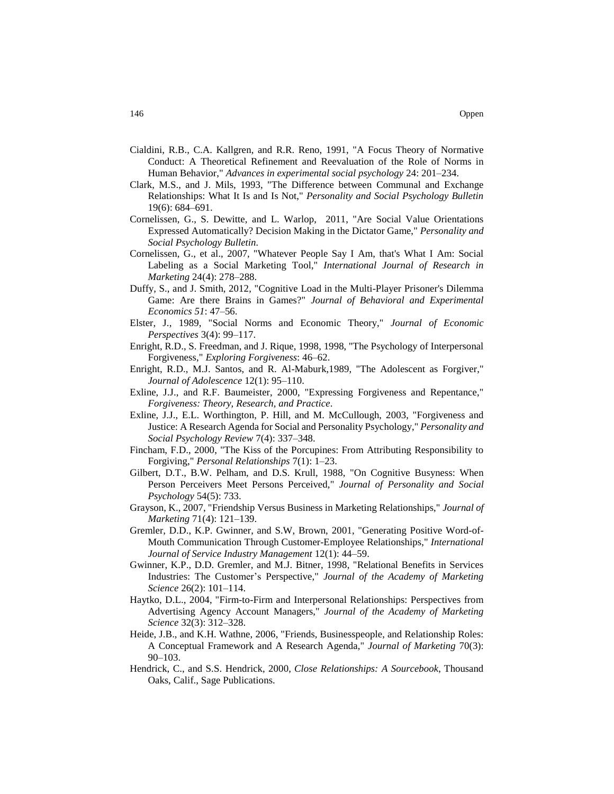- Cialdini, R.B., C.A. Kallgren, and R.R. Reno, 1991, "A Focus Theory of Normative Conduct: A Theoretical Refinement and Reevaluation of the Role of Norms in Human Behavior," *Advances in experimental social psychology* 24: 201–234.
- Clark, M.S., and J. Mils, 1993, "The Difference between Communal and Exchange Relationships: What It Is and Is Not," *Personality and Social Psychology Bulletin* 19(6): 684–691.
- Cornelissen, G., S. Dewitte, and L. Warlop, 2011, "Are Social Value Orientations Expressed Automatically? Decision Making in the Dictator Game," *Personality and Social Psychology Bulletin.*
- Cornelissen, G., et al., 2007, "Whatever People Say I Am, that's What I Am: Social Labeling as a Social Marketing Tool," *International Journal of Research in Marketing* 24(4): 278–288.
- Duffy, S., and J. Smith, 2012, "Cognitive Load in the Multi-Player Prisoner's Dilemma Game: Are there Brains in Games?" *[Journal of Behavioral and Experimental](https://www.sciencedirect.com/science/journal/22148043)  [Economics](https://www.sciencedirect.com/science/journal/22148043) [51](https://www.sciencedirect.com/science/journal/22148043/51/supp/C)*: 47–56.
- Elster, J., 1989, "Social Norms and Economic Theory," *Journal of Economic Perspectives* 3(4): 99–117.
- Enright, R.D., S. Freedman, and J. Rique, 1998, 1998, "The Psychology of Interpersonal Forgiveness," *Exploring Forgiveness*: 46–62.
- Enright, R.D., M.J. Santos, and R. Al-Maburk,1989, "The Adolescent as Forgiver," *Journal of Adolescence* 12(1): 95–110.
- Exline, J.J., and R.F. Baumeister, 2000, "Expressing Forgiveness and Repentance," *Forgiveness: Theory, Research, and Practice*.
- Exline, J.J., E.L. Worthington, P. Hill, and M. McCullough, 2003, "Forgiveness and Justice: A Research Agenda for Social and Personality Psychology," *Personality and Social Psychology Review* 7(4): 337–348.
- Fincham, F.D., 2000, "The Kiss of the Porcupines: From Attributing Responsibility to Forgiving," *Personal Relationships* 7(1): 1–23.
- Gilbert, D.T., B.W. Pelham, and D.S. Krull, 1988, "On Cognitive Busyness: When Person Perceivers Meet Persons Perceived," *Journal of Personality and Social Psychology* 54(5): 733.
- Grayson, K., 2007, "Friendship Versus Business in Marketing Relationships," *Journal of Marketing* 71(4): 121–139.
- Gremler, D.D., K.P. Gwinner, and S.W, Brown, 2001, "Generating Positive Word-of-Mouth Communication Through Customer-Employee Relationships," *International Journal of Service Industry Management* 12(1): 44–59.
- Gwinner, K.P., D.D. Gremler, and M.J. Bitner, 1998, "Relational Benefits in Services Industries: The Customer's Perspective," *Journal of the Academy of Marketing Science* 26(2): 101–114.
- Haytko, D.L., 2004, "Firm-to-Firm and Interpersonal Relationships: Perspectives from Advertising Agency Account Managers," *Journal of the Academy of Marketing Science* 32(3): 312–328.
- Heide, J.B., and K.H. Wathne, 2006, "Friends, Businesspeople, and Relationship Roles: A Conceptual Framework and A Research Agenda," *Journal of Marketing* 70(3): 90–103.
- Hendrick, C., and S.S. Hendrick, 2000, *Close Relationships: A Sourcebook*, Thousand Oaks, Calif., Sage Publications.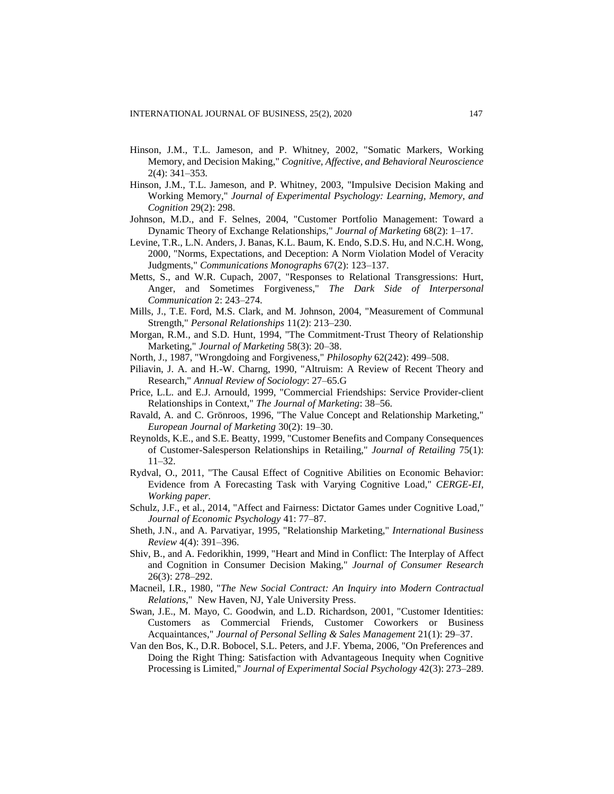- Hinson, J.M., T.L. Jameson, and P. Whitney, 2002, "Somatic Markers, Working Memory, and Decision Making," *Cognitive, Affective, and Behavioral Neuroscience* 2(4): 341–353.
- Hinson, J.M., T.L. Jameson, and P. Whitney, 2003, "Impulsive Decision Making and Working Memory," *Journal of Experimental Psychology: Learning, Memory, and Cognition* 29(2): 298.
- Johnson, M.D., and F. Selnes, 2004, "Customer Portfolio Management: Toward a Dynamic Theory of Exchange Relationships," *Journal of Marketing* 68(2): 1–17.
- Levine, T.R., L.N. Anders, J. Banas, K.L. Baum, K. Endo, S.D.S. Hu, and N.C.H. Wong, 2000, "Norms, Expectations, and Deception: A Norm Violation Model of Veracity Judgments," *Communications Monographs* 67(2): 123–137.
- Metts, S., and W.R. Cupach, 2007, "Responses to Relational Transgressions: Hurt, Anger, and Sometimes Forgiveness," *The Dark Side of Interpersonal Communication* 2: 243–274.
- Mills, J., T.E. Ford, M.S. Clark, and M. Johnson, 2004, "Measurement of Communal Strength," *Personal Relationships* 11(2): 213–230.
- Morgan, R.M., and S.D. Hunt, 1994, "The Commitment-Trust Theory of Relationship Marketing," *Journal of Marketing* 58(3): 20–38.
- North, J., 1987, "Wrongdoing and Forgiveness," *Philosophy* 62(242): 499–508.
- Piliavin, J. A. and H.-W. Charng, 1990, "Altruism: A Review of Recent Theory and Research," *Annual Review of Sociology*: 27–65.G
- Price, L.L. and E.J. Arnould, 1999, "Commercial Friendships: Service Provider-client Relationships in Context," *The Journal of Marketing*: 38–56.
- Ravald, A. and C. Grönroos, 1996, "The Value Concept and Relationship Marketing," *European Journal of Marketing* 30(2): 19–30.
- Reynolds, K.E., and S.E. Beatty, 1999, "Customer Benefits and Company Consequences of Customer-Salesperson Relationships in Retailing," *Journal of Retailing* 75(1): 11–32.
- Rydval, O., 2011, "The Causal Effect of Cognitive Abilities on Economic Behavior: Evidence from A Forecasting Task with Varying Cognitive Load," *CERGE-EI, Working paper.*
- Schulz, J.F., et al., 2014, "Affect and Fairness: Dictator Games under Cognitive Load," *Journal of Economic Psychology* 41: 77–87.
- Sheth, J.N., and A. Parvatiyar, 1995, "Relationship Marketing," *International Business Review* 4(4): 391–396.
- Shiv, B., and A. Fedorikhin, 1999, "Heart and Mind in Conflict: The Interplay of Affect and Cognition in Consumer Decision Making," *Journal of Consumer Research*  26(3): 278–292.
- Macneil, I.R., 1980, "*The New Social Contract: An Inquiry into Modern Contractual Relations*," New Haven, NJ, Yale University Press.
- Swan, J.E., M. Mayo, C. Goodwin, and L.D. Richardson, 2001, "Customer Identities: Customers as Commercial Friends, Customer Coworkers or Business Acquaintances," *Journal of Personal Selling & Sales Management* 21(1): 29–37.
- Van den Bos, K., D.R. Bobocel, S.L. Peters, and J.F. Ybema, 2006, "On Preferences and Doing the Right Thing: Satisfaction with Advantageous Inequity when Cognitive Processing is Limited," *Journal of Experimental Social Psychology* 42(3): 273–289.